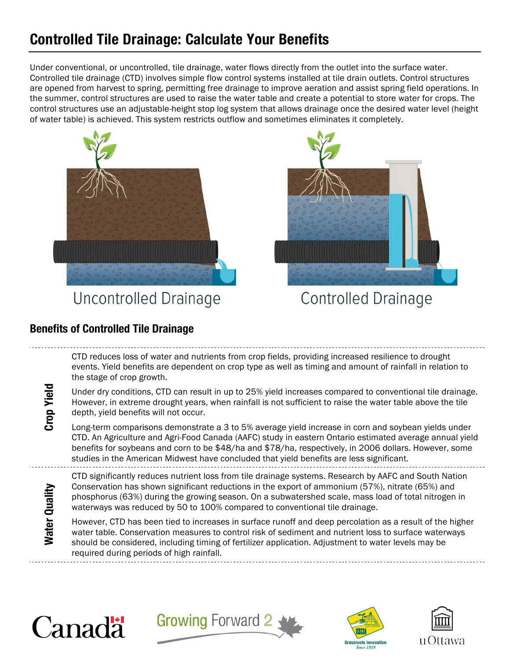# **Controlled Tile Drainage: Calculate Your Benefits**

Under conventional, or uncontrolled, tile drainage, water flows directly from the outlet into the surface water. Controlled tile drainage (CTD) involves simple flow control systems installed at tile drain outlets. Control structures are opened from harvest to spring, permitting free drainage to improve aeration and assist spring field operations. In the summer, control structures are used to raise the water table and create a potential to store water for crops. The control structures use an adjustable-height stop log system that allows drainage once the desired water level (height of water table) is achieved. This system restricts outflow and sometimes eliminates it completely.



**Uncontrolled Drainage** 



```
Controlled Drainage
```
#### **Benefits of Controlled Tile Drainage**

CTD reduces loss of water and nutrients from crop fields, providing increased resilience to drought events. Yield benefits are dependent on crop type as well as timing and amount of rainfall in relation to the stage of crop growth.

**Crop Yield**

Under dry conditions, CTD can result in up to 25% yield increases compared to conventional tile drainage. However, in extreme drought years, when rainfall is not sufficient to raise the water table above the tile depth, yield benefits will not occur.

Long-term comparisons demonstrate a 3 to 5% average yield increase in corn and soybean yields under CTD. An Agriculture and Agri-Food Canada (AAFC) study in eastern Ontario estimated average annual yield benefits for soybeans and corn to be \$48/ha and \$78/ha, respectively, in 2006 dollars. However, some studies in the American Midwest have concluded that yield benefits are less significant.

Water Quality **Water Quality** CTD significantly reduces nutrient loss from tile drainage systems. Research by AAFC and South Nation Conservation has shown significant reductions in the export of ammonium (57%), nitrate (65%) and phosphorus (63%) during the growing season. On a subwatershed scale, mass load of total nitrogen in waterways was reduced by 50 to 100% compared to conventional tile drainage.

However, CTD has been tied to increases in surface runoff and deep percolation as a result of the higher water table. Conservation measures to control risk of sediment and nutrient loss to surface waterways should be considered, including timing of fertilizer application. Adjustment to water levels may be required during periods of high rainfall.